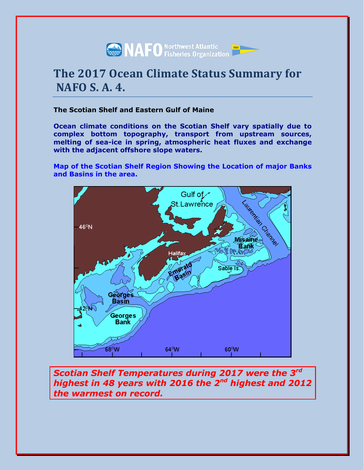

# **The 2017 Ocean Climate Status Summary for NAFO S. A. 4.**

# **The Scotian Shelf and Eastern Gulf of Maine**

**Ocean climate conditions on the Scotian Shelf vary spatially due to complex bottom topography, transport from upstream sources, melting of sea-ice in spring, atmospheric heat fluxes and exchange with the adjacent offshore slope waters.**

**Map of the Scotian Shelf Region Showing the Location of major Banks and Basins in the area.**



*Scotian Shelf Temperatures during 2017 were the 3rd highest in 48 years with 2016 the 2nd highest and 2012 the warmest on record.*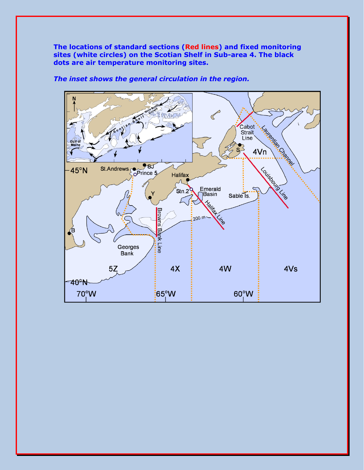**The locations of standard sections (Red lines) and fixed monitoring sites (white circles) on the Scotian Shelf in Sub-area 4. The black dots are air temperature monitoring sites.**



*The inset shows the general circulation in the region.*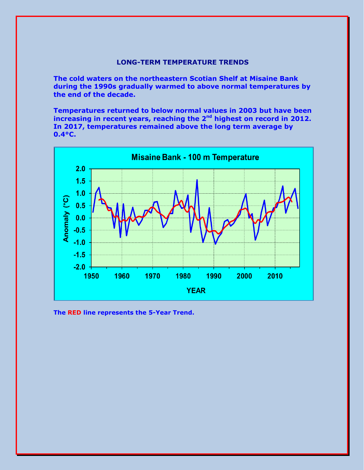# **LONG-TERM TEMPERATURE TRENDS**

**The cold waters on the northeastern Scotian Shelf at Misaine Bank during the 1990s gradually warmed to above normal temperatures by the end of the decade.**

**Temperatures returned to below normal values in 2003 but have been increasing in recent years, reaching the 2nd highest on record in 2012. In 2017, temperatures remained above the long term average by 0.4°C.**



**The RED line represents the 5-Year Trend.**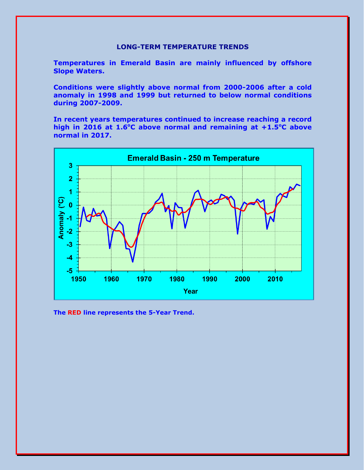## **LONG-TERM TEMPERATURE TRENDS**

**Temperatures in Emerald Basin are mainly influenced by offshore Slope Waters.**

**Conditions were slightly above normal from 2000-2006 after a cold anomaly in 1998 and 1999 but returned to below normal conditions during 2007-2009.**

**In recent years temperatures continued to increase reaching a record high in 2016 at 1.6 <sup>o</sup>C above normal and remaining at +1.5<sup>o</sup>C above normal in 2017.**



**The RED line represents the 5-Year Trend.**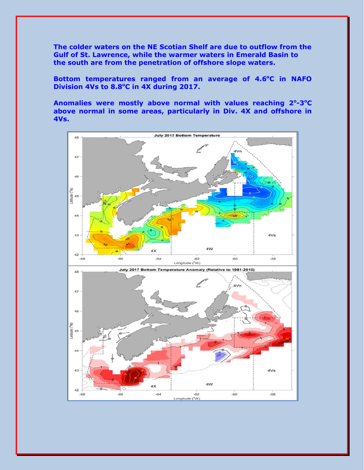**The colder waters on the NE Scotian Shelf are due to outflow from the Gulf of St. Lawrence, while the warmer waters in Emerald Basin to the south are from the penetration of offshore slope waters.**

Bottom temperatures ranged from an average of 4.6°C in NAFO **Division 4Vs to 8.8<sup>o</sup>C in 4X during 2017.**

Anomalies were mostly above normal with values reaching 2°-3°C **above normal in some areas, particularly in Div. 4X and offshore in 4Vs.**

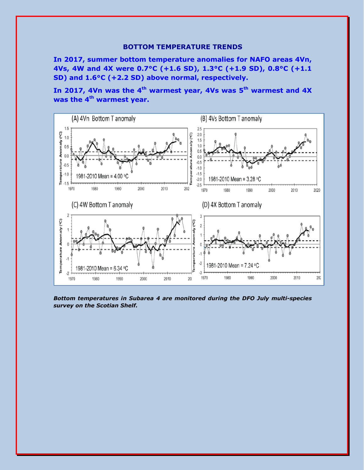#### **BOTTOM TEMPERATURE TRENDS**

**In 2017, summer bottom temperature anomalies for NAFO areas 4Vn, 4Vs, 4W and 4X were 0.7°C (+1.6 SD), 1.3°C (+1.9 SD), 0.8°C (+1.1 SD) and 1.6°C (+2.2 SD) above normal, respectively.**

**In 2017, 4Vn was the 4th warmest year, 4Vs was 5th warmest and 4X was the 4th warmest year.**



*Bottom temperatures in Subarea 4 are monitored during the DFO July multi-species survey on the Scotian Shelf.*